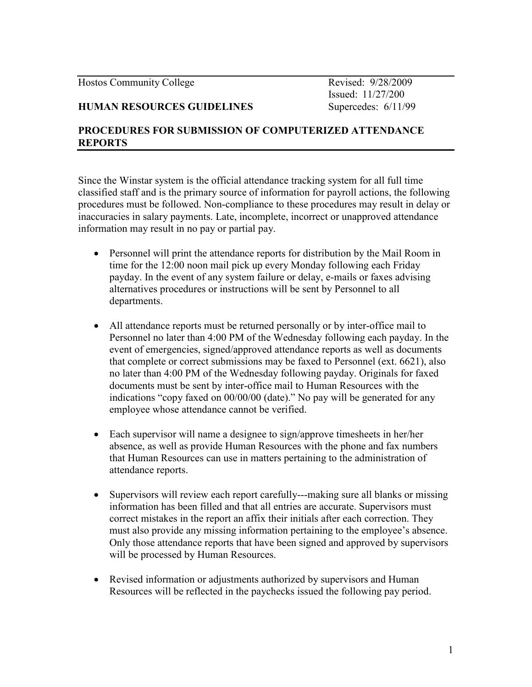Hostos Community College Revised: 9/28/2009

Issued: 11/27/200

## HUMAN RESOURCES GUIDELINES Supercedes: 6/11/99

## PROCEDURES FOR SUBMISSION OF COMPUTERIZED ATTENDANCE REPORTS

Since the Winstar system is the official attendance tracking system for all full time classified staff and is the primary source of information for payroll actions, the following procedures must be followed. Non-compliance to these procedures may result in delay or inaccuracies in salary payments. Late, incomplete, incorrect or unapproved attendance information may result in no pay or partial pay.

- Personnel will print the attendance reports for distribution by the Mail Room in time for the 12:00 noon mail pick up every Monday following each Friday payday. In the event of any system failure or delay, e-mails or faxes advising alternatives procedures or instructions will be sent by Personnel to all departments.
- All attendance reports must be returned personally or by inter-office mail to Personnel no later than 4:00 PM of the Wednesday following each payday. In the event of emergencies, signed/approved attendance reports as well as documents that complete or correct submissions may be faxed to Personnel (ext. 6621), also no later than 4:00 PM of the Wednesday following payday. Originals for faxed documents must be sent by inter-office mail to Human Resources with the indications "copy faxed on 00/00/00 (date)." No pay will be generated for any employee whose attendance cannot be verified.
- Each supervisor will name a designee to sign/approve timesheets in her/her absence, as well as provide Human Resources with the phone and fax numbers that Human Resources can use in matters pertaining to the administration of attendance reports.
- Supervisors will review each report carefully---making sure all blanks or missing information has been filled and that all entries are accurate. Supervisors must correct mistakes in the report an affix their initials after each correction. They must also provide any missing information pertaining to the employee's absence. Only those attendance reports that have been signed and approved by supervisors will be processed by Human Resources.
- Revised information or adjustments authorized by supervisors and Human Resources will be reflected in the paychecks issued the following pay period.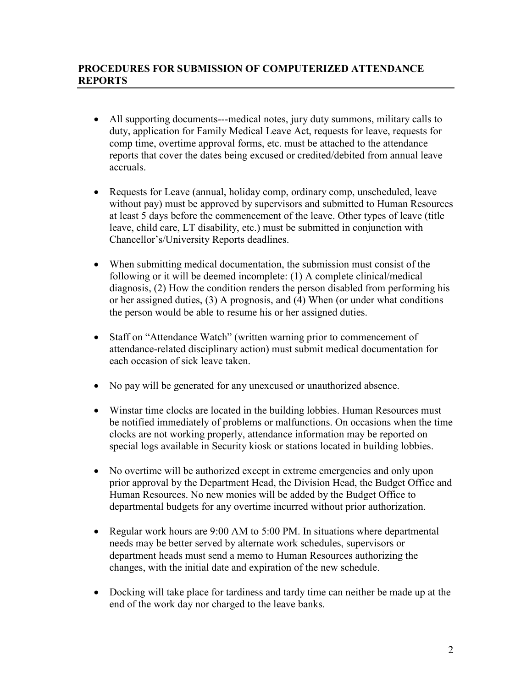## PROCEDURES FOR SUBMISSION OF COMPUTERIZED ATTENDANCE REPORTS

- All supporting documents---medical notes, jury duty summons, military calls to duty, application for Family Medical Leave Act, requests for leave, requests for comp time, overtime approval forms, etc. must be attached to the attendance reports that cover the dates being excused or credited/debited from annual leave accruals.
- Requests for Leave (annual, holiday comp, ordinary comp, unscheduled, leave without pay) must be approved by supervisors and submitted to Human Resources at least 5 days before the commencement of the leave. Other types of leave (title leave, child care, LT disability, etc.) must be submitted in conjunction with Chancellor's/University Reports deadlines.
- When submitting medical documentation, the submission must consist of the following or it will be deemed incomplete: (1) A complete clinical/medical diagnosis, (2) How the condition renders the person disabled from performing his or her assigned duties, (3) A prognosis, and (4) When (or under what conditions the person would be able to resume his or her assigned duties.
- Staff on "Attendance Watch" (written warning prior to commencement of attendance-related disciplinary action) must submit medical documentation for each occasion of sick leave taken.
- No pay will be generated for any unexcused or unauthorized absence.
- Winstar time clocks are located in the building lobbies. Human Resources must be notified immediately of problems or malfunctions. On occasions when the time clocks are not working properly, attendance information may be reported on special logs available in Security kiosk or stations located in building lobbies.
- No overtime will be authorized except in extreme emergencies and only upon prior approval by the Department Head, the Division Head, the Budget Office and Human Resources. No new monies will be added by the Budget Office to departmental budgets for any overtime incurred without prior authorization.
- Regular work hours are 9:00 AM to 5:00 PM. In situations where departmental needs may be better served by alternate work schedules, supervisors or department heads must send a memo to Human Resources authorizing the changes, with the initial date and expiration of the new schedule.
- Docking will take place for tardiness and tardy time can neither be made up at the end of the work day nor charged to the leave banks.